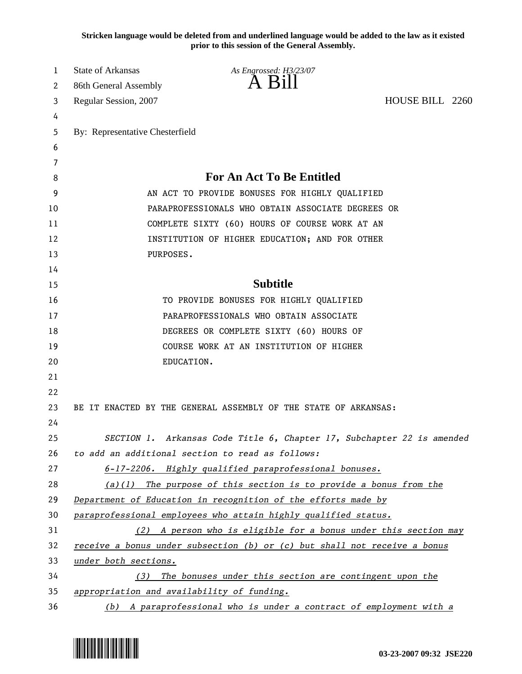**Stricken language would be deleted from and underlined language would be added to the law as it existed prior to this session of the General Assembly.**

| 1  | <b>State of Arkansas</b>                                                  | As Engrossed: H3/23/07                                                 |                 |  |  |
|----|---------------------------------------------------------------------------|------------------------------------------------------------------------|-----------------|--|--|
| 2  | 86th General Assembly                                                     | $A$ Bill                                                               |                 |  |  |
| 3  | Regular Session, 2007                                                     |                                                                        | HOUSE BILL 2260 |  |  |
| 4  |                                                                           |                                                                        |                 |  |  |
| 5  | By: Representative Chesterfield                                           |                                                                        |                 |  |  |
| 6  |                                                                           |                                                                        |                 |  |  |
| 7  |                                                                           |                                                                        |                 |  |  |
| 8  | <b>For An Act To Be Entitled</b>                                          |                                                                        |                 |  |  |
| 9  | AN ACT TO PROVIDE BONUSES FOR HIGHLY QUALIFIED                            |                                                                        |                 |  |  |
| 10 | PARAPROFESSIONALS WHO OBTAIN ASSOCIATE DEGREES OR                         |                                                                        |                 |  |  |
| 11 | COMPLETE SIXTY (60) HOURS OF COURSE WORK AT AN                            |                                                                        |                 |  |  |
| 12 | INSTITUTION OF HIGHER EDUCATION; AND FOR OTHER                            |                                                                        |                 |  |  |
| 13 | PURPOSES.                                                                 |                                                                        |                 |  |  |
| 14 |                                                                           |                                                                        |                 |  |  |
| 15 |                                                                           | <b>Subtitle</b>                                                        |                 |  |  |
| 16 | TO PROVIDE BONUSES FOR HIGHLY QUALIFIED                                   |                                                                        |                 |  |  |
| 17 | PARAPROFESSIONALS WHO OBTAIN ASSOCIATE                                    |                                                                        |                 |  |  |
| 18 |                                                                           | DEGREES OR COMPLETE SIXTY (60) HOURS OF                                |                 |  |  |
| 19 |                                                                           | COURSE WORK AT AN INSTITUTION OF HIGHER                                |                 |  |  |
| 20 |                                                                           | EDUCATION.                                                             |                 |  |  |
| 21 |                                                                           |                                                                        |                 |  |  |
| 22 |                                                                           |                                                                        |                 |  |  |
| 23 |                                                                           | BE IT ENACTED BY THE GENERAL ASSEMBLY OF THE STATE OF ARKANSAS:        |                 |  |  |
| 24 |                                                                           |                                                                        |                 |  |  |
| 25 |                                                                           | SECTION 1. Arkansas Code Title 6, Chapter 17, Subchapter 22 is amended |                 |  |  |
| 26 | to add an additional section to read as follows:                          |                                                                        |                 |  |  |
| 27 | 6-17-2206. Highly qualified paraprofessional bonuses.                     |                                                                        |                 |  |  |
| 28 | $(a)(1)$ The purpose of this section is to provide a bonus from the       |                                                                        |                 |  |  |
| 29 | Department of Education in recognition of the efforts made by             |                                                                        |                 |  |  |
| 30 | paraprofessional employees who attain highly qualified status.            |                                                                        |                 |  |  |
| 31 |                                                                           | (2) A person who is eligible for a bonus under this section may        |                 |  |  |
| 32 | receive a bonus under subsection (b) or (c) but shall not receive a bonus |                                                                        |                 |  |  |
| 33 | under both sections.                                                      |                                                                        |                 |  |  |
| 34 | The bonuses under this section are contingent upon the<br>(3)             |                                                                        |                 |  |  |
| 35 | appropriation and availability of funding.                                |                                                                        |                 |  |  |
| 36 | (b) A paraprofessional who is under a contract of employment with a       |                                                                        |                 |  |  |